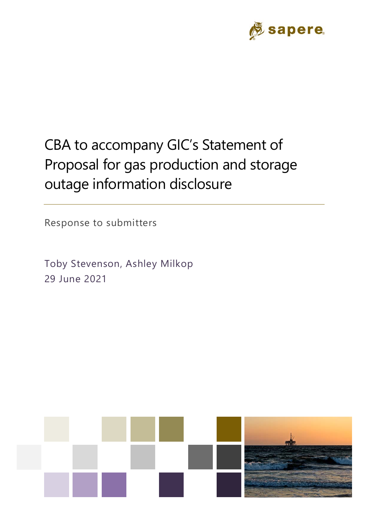

# CBA to accompany GIC's Statement of Proposal for gas production and storage outage information disclosure

Response to submitters

Toby Stevenson, Ashley Milkop 29 June 2021

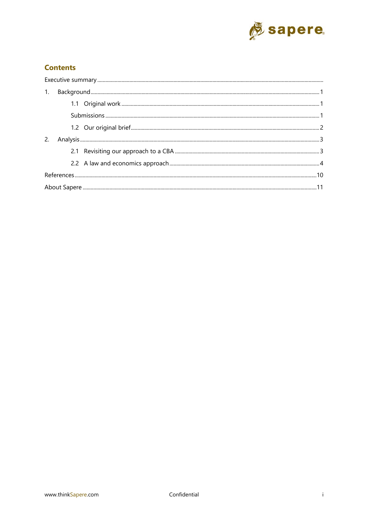

#### **Contents**

| 1. |  |  |  |  |
|----|--|--|--|--|
|    |  |  |  |  |
|    |  |  |  |  |
|    |  |  |  |  |
| 2. |  |  |  |  |
|    |  |  |  |  |
|    |  |  |  |  |
|    |  |  |  |  |
|    |  |  |  |  |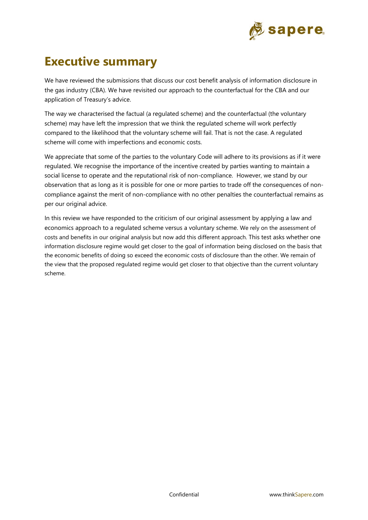

# **Executive summary**

We have reviewed the submissions that discuss our cost benefit analysis of information disclosure in the gas industry (CBA). We have revisited our approach to the counterfactual for the CBA and our application of Treasury's advice.

The way we characterised the factual (a regulated scheme) and the counterfactual (the voluntary scheme) may have left the impression that we think the regulated scheme will work perfectly compared to the likelihood that the voluntary scheme will fail. That is not the case. A regulated scheme will come with imperfections and economic costs.

We appreciate that some of the parties to the voluntary Code will adhere to its provisions as if it were regulated. We recognise the importance of the incentive created by parties wanting to maintain a social license to operate and the reputational risk of non-compliance. However, we stand by our observation that as long as it is possible for one or more parties to trade off the consequences of noncompliance against the merit of non-compliance with no other penalties the counterfactual remains as per our original advice.

In this review we have responded to the criticism of our original assessment by applying a law and economics approach to a regulated scheme versus a voluntary scheme. We rely on the assessment of costs and benefits in our original analysis but now add this different approach. This test asks whether one information disclosure regime would get closer to the goal of information being disclosed on the basis that the economic benefits of doing so exceed the economic costs of disclosure than the other. We remain of the view that the proposed regulated regime would get closer to that objective than the current voluntary scheme.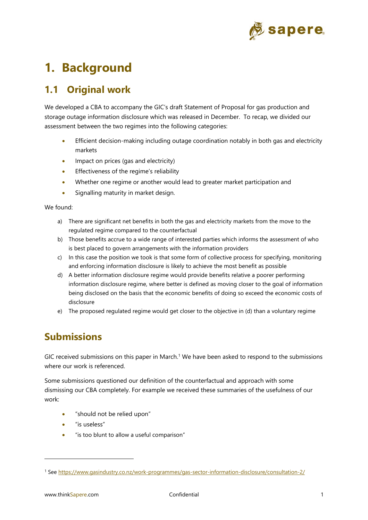

# **1. Background**

## **1.1 Original work**

We developed a CBA to accompany the GIC's draft Statement of Proposal for gas production and storage outage information disclosure which was released in December. To recap, we divided our assessment between the two regimes into the following categories:

- Efficient decision-making including outage coordination notably in both gas and electricity markets
- Impact on prices (gas and electricity)
- Effectiveness of the regime's reliability
- Whether one regime or another would lead to greater market participation and
- Signalling maturity in market design.

We found:

- a) There are significant net benefits in both the gas and electricity markets from the move to the regulated regime compared to the counterfactual
- b) Those benefits accrue to a wide range of interested parties which informs the assessment of who is best placed to govern arrangements with the information providers
- c) In this case the position we took is that some form of collective process for specifying, monitoring and enforcing information disclosure is likely to achieve the most benefit as possible
- d) A better information disclosure regime would provide benefits relative a poorer performing information disclosure regime, where better is defined as moving closer to the goal of information being disclosed on the basis that the economic benefits of doing so exceed the economic costs of disclosure
- e) The proposed regulated regime would get closer to the objective in (d) than a voluntary regime

## **Submissions**

GIC received submissions on this paper in March.<sup>1</sup> We have been asked to respond to the submissions where our work is referenced.

Some submissions questioned our definition of the counterfactual and approach with some dismissing our CBA completely. For example we received these summaries of the usefulness of our work:

- "should not be relied upon"
- "is useless"
- "is too blunt to allow a useful comparison"

<sup>1</sup> See https://www.gasindustry.co.nz/work-programmes/gas-sector-information-disclosure/consultation-2/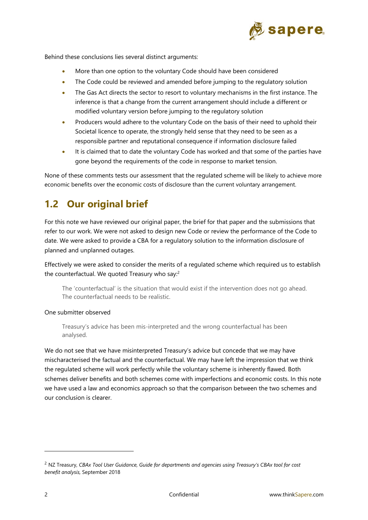

Behind these conclusions lies several distinct arguments:

- More than one option to the voluntary Code should have been considered
- The Code could be reviewed and amended before jumping to the regulatory solution
- The Gas Act directs the sector to resort to voluntary mechanisms in the first instance. The inference is that a change from the current arrangement should include a different or modified voluntary version before jumping to the regulatory solution
- Producers would adhere to the voluntary Code on the basis of their need to uphold their Societal licence to operate, the strongly held sense that they need to be seen as a responsible partner and reputational consequence if information disclosure failed
- It is claimed that to date the voluntary Code has worked and that some of the parties have gone beyond the requirements of the code in response to market tension.

None of these comments tests our assessment that the regulated scheme will be likely to achieve more economic benefits over the economic costs of disclosure than the current voluntary arrangement.

## **1.2 Our original brief**

For this note we have reviewed our original paper, the brief for that paper and the submissions that refer to our work. We were not asked to design new Code or review the performance of the Code to date. We were asked to provide a CBA for a regulatory solution to the information disclosure of planned and unplanned outages.

Effectively we were asked to consider the merits of a regulated scheme which required us to establish the counterfactual. We quoted Treasury who say:<sup>2</sup>

The 'counterfactual' is the situation that would exist if the intervention does not go ahead. The counterfactual needs to be realistic.

#### One submitter observed

Treasury's advice has been mis-interpreted and the wrong counterfactual has been analysed.

We do not see that we have misinterpreted Treasury's advice but concede that we may have mischaracterised the factual and the counterfactual. We may have left the impression that we think the regulated scheme will work perfectly while the voluntary scheme is inherently flawed. Both schemes deliver benefits and both schemes come with imperfections and economic costs. In this note we have used a law and economics approach so that the comparison between the two schemes and our conclusion is clearer.

<sup>2</sup> NZ Treasury, *CBAx Tool User Guidance, Guide for departments and agencies using Treasury's CBAx tool for cost benefit analysis,* September 2018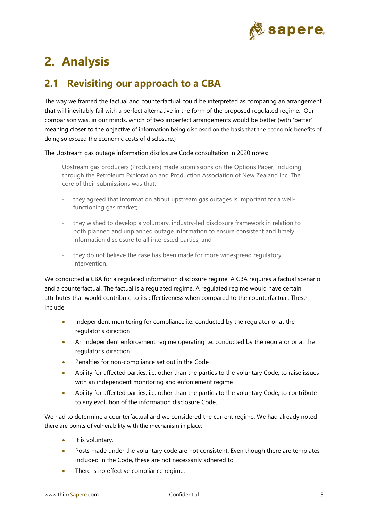

# **2. Analysis**

## **2.1 Revisiting our approach to a CBA**

The way we framed the factual and counterfactual could be interpreted as comparing an arrangement that will inevitably fail with a perfect alternative in the form of the proposed regulated regime. Our comparison was, in our minds, which of two imperfect arrangements would be better (with 'better' meaning closer to the objective of information being disclosed on the basis that the economic benefits of doing so exceed the economic costs of disclosure.)

The Upstream gas outage information disclosure Code consultation in 2020 notes:

Upstream gas producers (Producers) made submissions on the Options Paper, including through the Petroleum Exploration and Production Association of New Zealand Inc. The core of their submissions was that:

- they agreed that information about upstream gas outages is important for a wellfunctioning gas market;
- they wished to develop a voluntary, industry-led disclosure framework in relation to both planned and unplanned outage information to ensure consistent and timely information disclosure to all interested parties; and
- they do not believe the case has been made for more widespread regulatory intervention.

We conducted a CBA for a regulated information disclosure regime. A CBA requires a factual scenario and a counterfactual. The factual is a regulated regime. A regulated regime would have certain attributes that would contribute to its effectiveness when compared to the counterfactual. These include:

- Independent monitoring for compliance i.e. conducted by the regulator or at the regulator's direction
- An independent enforcement regime operating i.e. conducted by the regulator or at the regulator's direction
- Penalties for non-compliance set out in the Code
- Ability for affected parties, i.e. other than the parties to the voluntary Code, to raise issues with an independent monitoring and enforcement regime
- Ability for affected parties, i.e. other than the parties to the voluntary Code, to contribute to any evolution of the information disclosure Code.

We had to determine a counterfactual and we considered the current regime. We had already noted there are points of vulnerability with the mechanism in place:

- It is voluntary.
- Posts made under the voluntary code are not consistent. Even though there are templates included in the Code, these are not necessarily adhered to
- There is no effective compliance regime.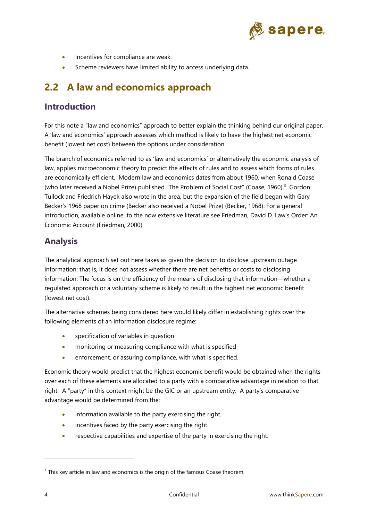

- Incentives for compliance are weak.
- Scheme reviewers have limited ability to access underlying data.

## **2.2 A law and economics approach**

#### **Introduction**

For this note a "law and economics" approach to better explain the thinking behind our original paper. A 'law and economics' approach assesses which method is likely to have the highest net economic benefit (lowest net cost) between the options under consideration.

The branch of economics referred to as 'law and economics' or alternatively the economic analysis of law, applies microeconomic theory to predict the effects of rules and to assess which forms of rules are economically efficient. Modern law and economics dates from about 1960, when Ronald Coase (who later received a Nobel Prize) published "The Problem of Social Cost" (Coase, 1960).<sup>3</sup> Gordon Tullock and Friedrich Hayek also wrote in the area, but the expansion of the field began with Gary Becker's 1968 paper on crime (Becker also received a Nobel Prize) (Becker, 1968). For a general introduction, available online, to the now extensive literature see Friedman, David D. Law's Order: An Economic Account (Friedman, 2000).

#### **Analysis**

The analytical approach set out here takes as given the decision to disclose upstream outage information; that is, it does not assess whether there are net benefits or costs to disclosing information. The focus is on the efficiency of the means of disclosing that information—whether a regulated approach or a voluntary scheme is likely to result in the highest net economic benefit (lowest net cost).

The alternative schemes being considered here would likely differ in establishing rights over the following elements of an information disclosure regime:

- specification of variables in question
- monitoring or measuring compliance with what is specified
- enforcement, or assuring compliance, with what is specified.

Economic theory would predict that the highest economic benefit would be obtained when the rights over each of these elements are allocated to a party with a comparative advantage in relation to that right. A "party" in this context might be the GIC or an upstream entity. A party's comparative advantage would be determined from the:

- information available to the party exercising the right.
- incentives faced by the party exercising the right.
- respective capabilities and expertise of the party in exercising the right.

<sup>&</sup>lt;sup>3</sup> This key article in law and economics is the origin of the famous Coase theorem.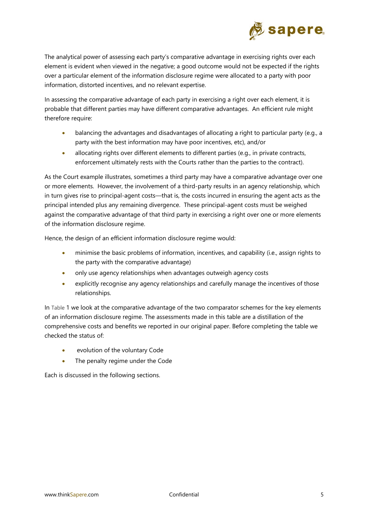

The analytical power of assessing each party's comparative advantage in exercising rights over each element is evident when viewed in the negative; a good outcome would not be expected if the rights over a particular element of the information disclosure regime were allocated to a party with poor information, distorted incentives, and no relevant expertise.

In assessing the comparative advantage of each party in exercising a right over each element, it is probable that different parties may have different comparative advantages. An efficient rule might therefore require:

- balancing the advantages and disadvantages of allocating a right to particular party (e.g., a party with the best information may have poor incentives, etc), and/or
- allocating rights over different elements to different parties (e.g., in private contracts, enforcement ultimately rests with the Courts rather than the parties to the contract).

As the Court example illustrates, sometimes a third party may have a comparative advantage over one or more elements. However, the involvement of a third-party results in an agency relationship, which in turn gives rise to principal-agent costs—that is, the costs incurred in ensuring the agent acts as the principal intended plus any remaining divergence. These principal-agent costs must be weighed against the comparative advantage of that third party in exercising a right over one or more elements of the information disclosure regime.

Hence, the design of an efficient information disclosure regime would:

- minimise the basic problems of information, incentives, and capability (i.e., assign rights to the party with the comparative advantage)
- only use agency relationships when advantages outweigh agency costs
- explicitly recognise any agency relationships and carefully manage the incentives of those relationships.

In Table 1 we look at the comparative advantage of the two comparator schemes for the key elements of an information disclosure regime. The assessments made in this table are a distillation of the comprehensive costs and benefits we reported in our original paper. Before completing the table we checked the status of:

- evolution of the voluntary Code
- The penalty regime under the Code

Each is discussed in the following sections.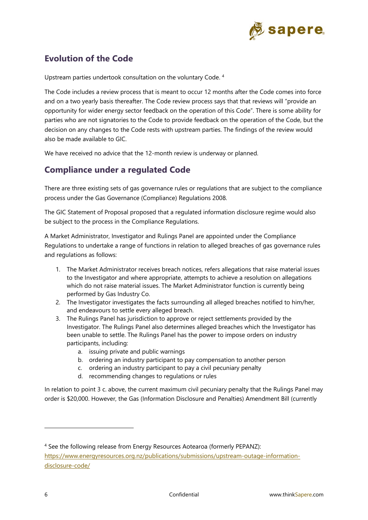

### **Evolution of the Code**

Upstream parties undertook consultation on the voluntary Code. 4

The Code includes a review process that is meant to occur 12 months after the Code comes into force and on a two yearly basis thereafter. The Code review process says that that reviews will "provide an opportunity for wider energy sector feedback on the operation of this Code". There is some ability for parties who are not signatories to the Code to provide feedback on the operation of the Code, but the decision on any changes to the Code rests with upstream parties. The findings of the review would also be made available to GIC.

We have received no advice that the 12-month review is underway or planned.

#### **Compliance under a regulated Code**

There are three existing sets of gas governance rules or regulations that are subject to the compliance process under the Gas Governance (Compliance) Regulations 2008.

The GIC Statement of Proposal proposed that a regulated information disclosure regime would also be subject to the process in the Compliance Regulations.

A Market Administrator, Investigator and Rulings Panel are appointed under the Compliance Regulations to undertake a range of functions in relation to alleged breaches of gas governance rules and regulations as follows:

- 1. The Market Administrator receives breach notices, refers allegations that raise material issues to the Investigator and where appropriate, attempts to achieve a resolution on allegations which do not raise material issues. The Market Administrator function is currently being performed by Gas Industry Co.
- 2. The Investigator investigates the facts surrounding all alleged breaches notified to him/her, and endeavours to settle every alleged breach.
- 3. The Rulings Panel has jurisdiction to approve or reject settlements provided by the Investigator. The Rulings Panel also determines alleged breaches which the Investigator has been unable to settle. The Rulings Panel has the power to impose orders on industry participants, including:
	- a. issuing private and public warnings
	- b. ordering an industry participant to pay compensation to another person
	- c. ordering an industry participant to pay a civil pecuniary penalty
	- d. recommending changes to regulations or rules

In relation to point 3 c. above, the current maximum civil pecuniary penalty that the Rulings Panel may order is \$20,000. However, the Gas (Information Disclosure and Penalties) Amendment Bill (currently

<sup>4</sup> See the following release from Energy Resources Aotearoa (formerly PEPANZ): https://www.energyresources.org.nz/publications/submissions/upstream-outage-informationdisclosure-code/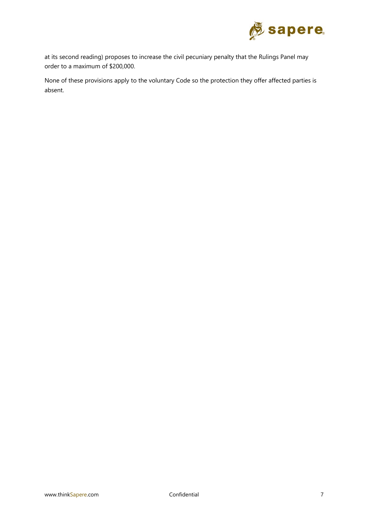

at its second reading) proposes to increase the civil pecuniary penalty that the Rulings Panel may order to a maximum of \$200,000.

None of these provisions apply to the voluntary Code so the protection they offer affected parties is absent.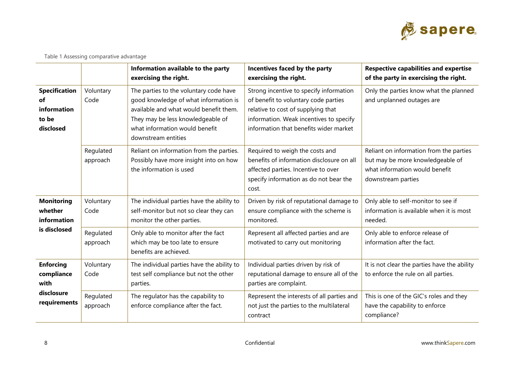

|  |  | Table 1 Assessing comparative advantage |  |
|--|--|-----------------------------------------|--|
|--|--|-----------------------------------------|--|

|                                                                 |                       | Information available to the party<br>exercising the right.                                                                                                                                                             | Incentives faced by the party<br>exercising the right.                                                                                                                                                     | <b>Respective capabilities and expertise</b><br>of the party in exercising the right.                                               |
|-----------------------------------------------------------------|-----------------------|-------------------------------------------------------------------------------------------------------------------------------------------------------------------------------------------------------------------------|------------------------------------------------------------------------------------------------------------------------------------------------------------------------------------------------------------|-------------------------------------------------------------------------------------------------------------------------------------|
| <b>Specification</b><br>of<br>information<br>to be<br>disclosed | Voluntary<br>Code     | The parties to the voluntary code have<br>good knowledge of what information is<br>available and what would benefit them.<br>They may be less knowledgeable of<br>what information would benefit<br>downstream entities | Strong incentive to specify information<br>of benefit to voluntary code parties<br>relative to cost of supplying that<br>information. Weak incentives to specify<br>information that benefits wider market | Only the parties know what the planned<br>and unplanned outages are                                                                 |
|                                                                 | Regulated<br>approach | Reliant on information from the parties.<br>Possibly have more insight into on how<br>the information is used                                                                                                           | Required to weigh the costs and<br>benefits of information disclosure on all<br>affected parties. Incentive to over<br>specify information as do not bear the<br>cost.                                     | Reliant on information from the parties<br>but may be more knowledgeable of<br>what information would benefit<br>downstream parties |
| <b>Monitoring</b><br>whether<br>information                     | Voluntary<br>Code     | The individual parties have the ability to<br>self-monitor but not so clear they can<br>monitor the other parties.                                                                                                      | Driven by risk of reputational damage to<br>ensure compliance with the scheme is<br>monitored.                                                                                                             | Only able to self-monitor to see if<br>information is available when it is most<br>needed.                                          |
| is disclosed                                                    | Regulated<br>approach | Only able to monitor after the fact<br>which may be too late to ensure<br>benefits are achieved.                                                                                                                        | Represent all affected parties and are<br>motivated to carry out monitoring                                                                                                                                | Only able to enforce release of<br>information after the fact.                                                                      |
| <b>Enforcing</b><br>compliance<br>with                          | Voluntary<br>Code     | The individual parties have the ability to<br>test self compliance but not the other<br>parties.                                                                                                                        | Individual parties driven by risk of<br>reputational damage to ensure all of the<br>parties are complaint.                                                                                                 | It is not clear the parties have the ability<br>to enforce the rule on all parties.                                                 |
| disclosure<br>requirements                                      | Regulated<br>approach | The regulator has the capability to<br>enforce compliance after the fact.                                                                                                                                               | Represent the interests of all parties and<br>not just the parties to the multilateral<br>contract                                                                                                         | This is one of the GIC's roles and they<br>have the capability to enforce<br>compliance?                                            |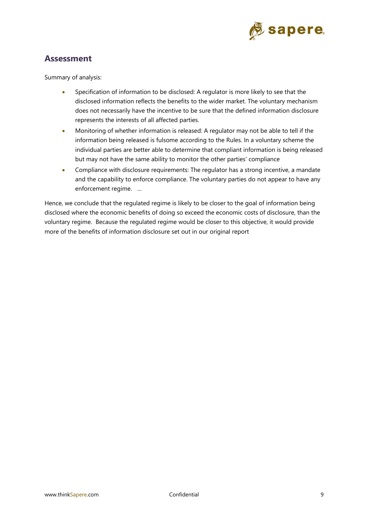

#### **Assessment**

Summary of analysis:

- Specification of information to be disclosed: A regulator is more likely to see that the disclosed information reflects the benefits to the wider market. The voluntary mechanism does not necessarily have the incentive to be sure that the defined information disclosure represents the interests of all affected parties.
- Monitoring of whether information is released: A regulator may not be able to tell if the information being released is fulsome according to the Rules. In a voluntary scheme the individual parties are better able to determine that compliant information is being released but may not have the same ability to monitor the other parties' compliance
- Compliance with disclosure requirements: The regulator has a strong incentive, a mandate and the capability to enforce compliance. The voluntary parties do not appear to have any enforcement regime. …

Hence, we conclude that the regulated regime is likely to be closer to the goal of information being disclosed where the economic benefits of doing so exceed the economic costs of disclosure, than the voluntary regime. Because the regulated regime would be closer to this objective, it would provide more of the benefits of information disclosure set out in our original report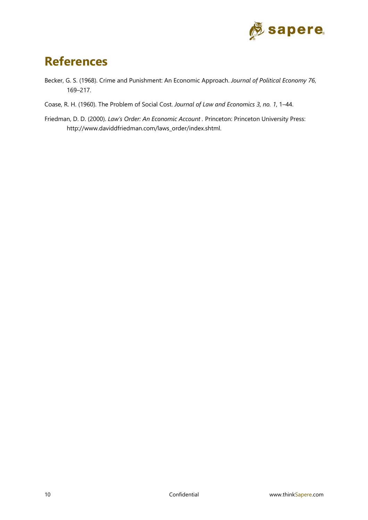

# **References**

- Becker, G. S. (1968). Crime and Punishment: An Economic Approach. *Journal of Political Economy 76*, 169–217.
- Coase, R. H. (1960). The Problem of Social Cost. *Journal of Law and Economics 3, no. 1*, 1–44.
- Friedman, D. D. (2000). *Law's Order: An Economic Account .* Princeton: Princeton University Press: http://www.daviddfriedman.com/laws\_order/index.shtml.